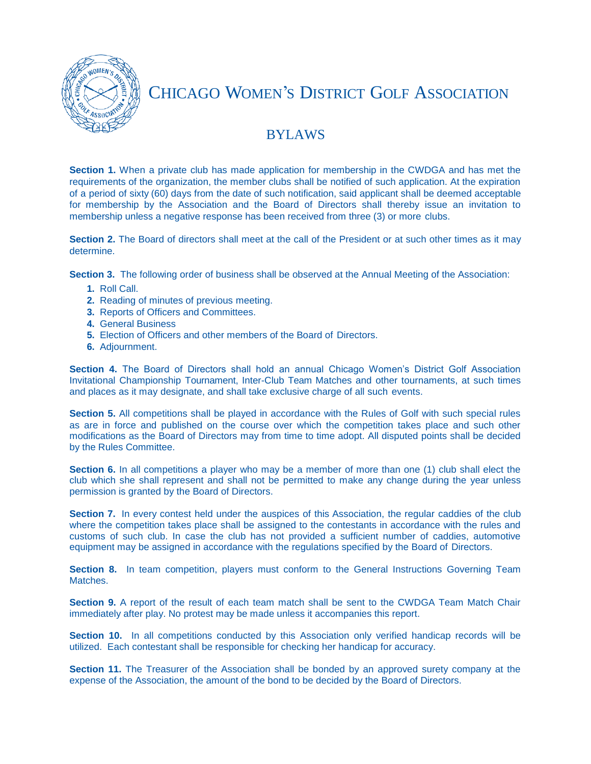

CHICAGO WOMEN'S DISTRICT GOLF ASSOCIATION

## BYLAWS

**Section 1.** When a private club has made application for membership in the CWDGA and has met the requirements of the organization, the member clubs shall be notified of such application. At the expiration of a period of sixty (60) days from the date of such notification, said applicant shall be deemed acceptable for membership by the Association and the Board of Directors shall thereby issue an invitation to membership unless a negative response has been received from three (3) or more clubs.

**Section 2.** The Board of directors shall meet at the call of the President or at such other times as it may determine.

**Section 3.** The following order of business shall be observed at the Annual Meeting of the Association:

- **1.** Roll Call.
- **2.** Reading of minutes of previous meeting.
- **3.** Reports of Officers and Committees.
- **4.** General Business
- **5.** Election of Officers and other members of the Board of Directors.
- **6.** Adjournment.

**Section 4.** The Board of Directors shall hold an annual Chicago Women's District Golf Association Invitational Championship Tournament, Inter-Club Team Matches and other tournaments, at such times and places as it may designate, and shall take exclusive charge of all such events.

**Section 5.** All competitions shall be played in accordance with the Rules of Golf with such special rules as are in force and published on the course over which the competition takes place and such other modifications as the Board of Directors may from time to time adopt. All disputed points shall be decided by the Rules Committee.

**Section 6.** In all competitions a player who may be a member of more than one (1) club shall elect the club which she shall represent and shall not be permitted to make any change during the year unless permission is granted by the Board of Directors.

**Section 7.** In every contest held under the auspices of this Association, the regular caddies of the club where the competition takes place shall be assigned to the contestants in accordance with the rules and customs of such club. In case the club has not provided a sufficient number of caddies, automotive equipment may be assigned in accordance with the regulations specified by the Board of Directors.

**Section 8.** In team competition, players must conform to the General Instructions Governing Team Matches.

**Section 9.** A report of the result of each team match shall be sent to the CWDGA Team Match Chair immediately after play. No protest may be made unless it accompanies this report.

**Section 10.** In all competitions conducted by this Association only verified handicap records will be utilized. Each contestant shall be responsible for checking her handicap for accuracy.

**Section 11.** The Treasurer of the Association shall be bonded by an approved surety company at the expense of the Association, the amount of the bond to be decided by the Board of Directors.